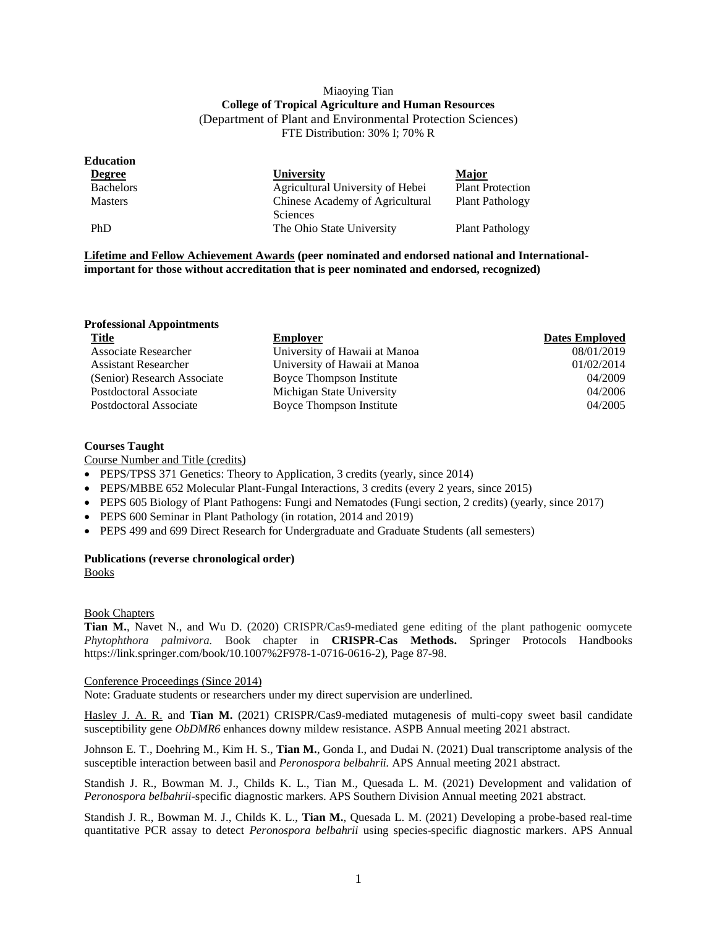# Miaoying Tian **College of Tropical Agriculture and Human Resources** (Department of Plant and Environmental Protection Sciences) FTE Distribution: 30% I; 70% R

| <b>Education</b> |                                  |                         |
|------------------|----------------------------------|-------------------------|
| <b>Degree</b>    | <b>University</b>                | Major                   |
| <b>Bachelors</b> | Agricultural University of Hebei | <b>Plant Protection</b> |
| <b>Masters</b>   | Chinese Academy of Agricultural  | <b>Plant Pathology</b>  |
|                  | Sciences                         |                         |
| PhD              | The Ohio State University        | <b>Plant Pathology</b>  |

# **Lifetime and Fellow Achievement Awards (peer nominated and endorsed national and Internationalimportant for those without accreditation that is peer nominated and endorsed, recognized)**

| <b>Employer</b>               | <b>Dates Employed</b> |
|-------------------------------|-----------------------|
| University of Hawaii at Manoa | 08/01/2019            |
| University of Hawaii at Manoa | 01/02/2014            |
| Boyce Thompson Institute      | 04/2009               |
| Michigan State University     | 04/2006               |
| Boyce Thompson Institute      | 04/2005               |
|                               |                       |

# **Courses Taught**

Course Number and Title (credits)

**Professional Appointments**

- PEPS/TPSS 371 Genetics: Theory to Application, 3 credits (yearly, since 2014)
- PEPS/MBBE 652 Molecular Plant-Fungal Interactions, 3 credits (every 2 years, since 2015)
- PEPS 605 Biology of Plant Pathogens: Fungi and Nematodes (Fungi section, 2 credits) (yearly, since 2017)
- PEPS 600 Seminar in Plant Pathology (in rotation, 2014 and 2019)
- PEPS 499 and 699 Direct Research for Undergraduate and Graduate Students (all semesters)

### **Publications (reverse chronological order)**

Books

### Book Chapters

**Tian M.**, Navet N., and Wu D. (2020) CRISPR/Cas9-mediated gene editing of the plant pathogenic oomycete *Phytophthora palmivora.* Book chapter in **CRISPR-Cas Methods.** Springer Protocols Handbooks https://link.springer.com/book/10.1007%2F978-1-0716-0616-2), Page 87-98.

### Conference Proceedings (Since 2014)

Note: Graduate students or researchers under my direct supervision are underlined.

Hasley J. A. R. and **Tian M.** (2021) CRISPR/Cas9-mediated mutagenesis of multi-copy sweet basil candidate susceptibility gene *ObDMR6* enhances downy mildew resistance. ASPB Annual meeting 2021 abstract.

Johnson E. T., Doehring M., Kim H. S., **Tian M.**, Gonda I., and Dudai N. (2021) Dual transcriptome analysis of the susceptible interaction between basil and *Peronospora belbahrii.* APS Annual meeting 2021 abstract.

Standish J. R., Bowman M. J., Childs K. L., Tian M., Quesada L. M. (2021) Development and validation of *Peronospora belbahrii*-specific diagnostic markers. APS Southern Division Annual meeting 2021 abstract.

Standish J. R., Bowman M. J., Childs K. L., **Tian M.**, Quesada L. M. (2021) Developing a probe-based real-time quantitative PCR assay to detect *Peronospora belbahrii* using species-specific diagnostic markers. APS Annual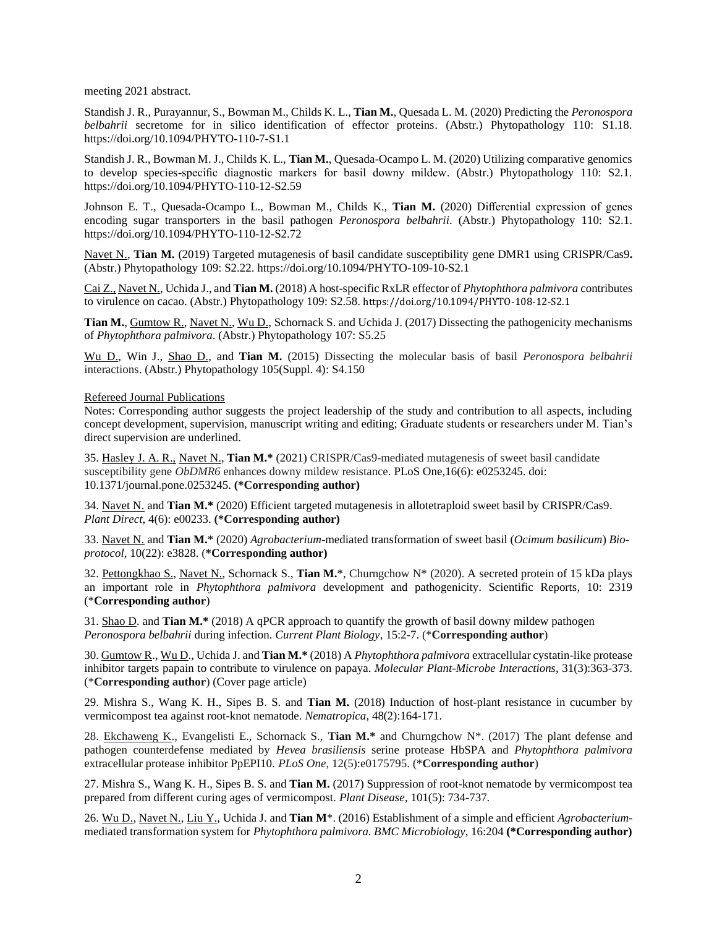meeting 2021 abstract.

Standish J. R., Purayannur, S., Bowman M., Childs K. L., **Tian M.**, Quesada L. M. (2020) Predicting the *Peronospora belbahrii* secretome for in silico identification of effector proteins. (Abstr.) Phytopathology 110: S1.18. <https://doi.org/10.1094/PHYTO-110-7-S1.1>

Standish J. R., Bowman M. J., Childs K. L., **Tian M.**, Quesada-Ocampo L. M. (2020) Utilizing comparative genomics to develop species-specific diagnostic markers for basil downy mildew. (Abstr.) Phytopathology 110: S2.1. https://doi.org/10.1094/PHYTO-110-12-S2.59

Johnson E. T., Quesada-Ocampo L., Bowman M., Childs K., **Tian M.** (2020) Differential expression of genes encoding sugar transporters in the basil pathogen *Peronospora belbahrii*. (Abstr.) Phytopathology 110: S2.1. https://doi.org/10.1094/PHYTO-110-12-S2.72

Navet N., **Tian M.** (2019) Targeted mutagenesis of basil candidate susceptibility gene DMR1 using CRISPR/Cas9**.**  (Abstr.) Phytopathology 109: S2.22.<https://doi.org/10.1094/PHYTO-109-10-S2.1>

Cai Z., Navet N., Uchida J., and **Tian M.** (2018) A host-specific RxLR effector of *Phytophthora palmivora* contributes to virulence on cacao. (Abstr.) Phytopathology 109: S2.58. https://doi.org/10.1094/PHYTO-108-12-S2.1

**Tian M.**, Gumtow R., Navet N., Wu D., Schornack S. and Uchida J. (2017) Dissecting the pathogenicity mechanisms of *Phytophthora palmivora*. (Abstr.) Phytopathology 107: S5.25

Wu D., Win J., Shao D., and **Tian M.** (2015) Dissecting the molecular basis of basil *Peronospora belbahrii* interactions. (Abstr.) Phytopathology 105(Suppl. 4): S4.150

## Refereed Journal Publications

Notes: Corresponding author suggests the project leadership of the study and contribution to all aspects, including concept development, supervision, manuscript writing and editing; Graduate students or researchers under M. Tian's direct supervision are underlined.

35. Hasley J. A. R., Navet N., **Tian M.\*** (2021) CRISPR/Cas9-mediated mutagenesis of sweet basil candidate susceptibility gene *ObDMR6* enhances downy mildew resistance. PLoS One,16(6): e0253245. doi: 10.1371/journal.pone.0253245. **(\*Corresponding author)**

34. Navet N. and **Tian M.\*** (2020) Efficient targeted mutagenesis in allotetraploid sweet basil by CRISPR/Cas9. *Plant Direct*, 4(6): e00233. **(\*Corresponding author)**

33. Navet N. and **Tian M.**\* (2020) *Agrobacterium*-mediated transformation of sweet basil (*Ocimum basilicum*) *Bioprotocol*, 10(22): e3828. (**\*Corresponding author)**

32. Pettongkhao S., Navet N., Schornack S., **Tian M.**\*, Churngchow N\* (2020). A secreted protein of 15 kDa plays an important role in *Phytophthora palmivora* development and pathogenicity. Scientific Reports, 10: 2319 (\***Corresponding author**)

31. Shao D. and **Tian M.\*** (2018) A qPCR approach to quantify the growth of basil downy mildew pathogen *Peronospora belbahrii* during infection. *Current Plant Biology*, 15:2-7. (\***Corresponding author**)

30. Gumtow R., Wu D., Uchida J. and **Tian M.\*** (2018) A *Phytophthora palmivora* extracellular cystatin-like protease inhibitor targets papain to contribute to virulence on papaya. *Molecular Plant-Microbe Interactions*, 31(3):363-373. (\***Corresponding author**) (Cover page article)

29. Mishra S., Wang K. H., Sipes B. S. and **Tian M.** (2018) Induction of host-plant resistance in cucumber by vermicompost tea against root-knot nematode. *Nematropica*, 48(2):164-171.

28. Ekchaweng K., Evangelisti E., Schornack S., **Tian M.\*** and Churngchow N\*. (2017) [The plant defense and](https://www.ncbi.nlm.nih.gov/pubmed/28459807)  [pathogen counterdefense mediated by](https://www.ncbi.nlm.nih.gov/pubmed/28459807) *Hevea brasiliensis* serine protease HbSPA and *Phytophthora palmivora* [extracellular protease inhibitor PpEPI10.](https://www.ncbi.nlm.nih.gov/pubmed/28459807) *PLoS One*, 12(5):e0175795. (\***Corresponding author**)

27. Mishra S., Wang K. H., Sipes B. S. and **Tian M.** (2017) Suppression of root-knot nematode by vermicompost tea prepared from different curing ages of vermicompost. *Plant Disease*, 101(5): 734-737.

26. Wu D., Navet N., Liu Y., Uchida J. and **Tian M**\*. (2016) Establishment of a simple and efficient *Agrobacterium*mediated transformation system for *Phytophthora palmivora. BMC Microbiology,* 16:204 **(\*Corresponding author)**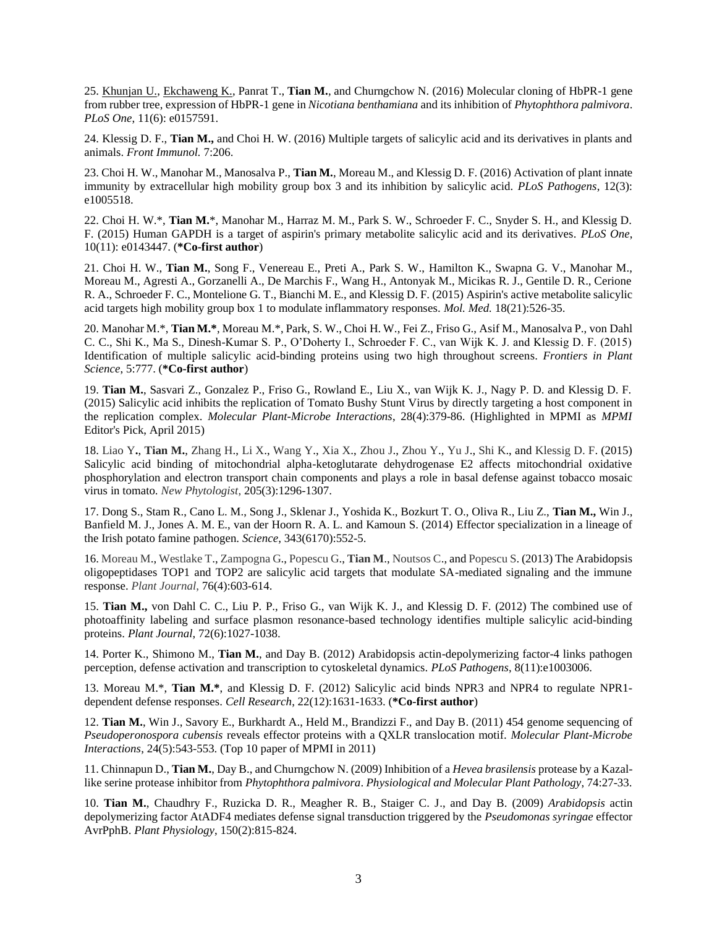25. Khunjan U., Ekchaweng K., Panrat T., **Tian M.**, and Churngchow N. (2016) Molecular cloning of HbPR-1 gene from rubber tree, expression of HbPR-1 gene in *Nicotiana benthamiana* and its inhibition of *Phytophthora palmivora*. *PLoS One*, 11(6): e0157591.

24. Klessig D. F., **Tian M.,** and Choi H. W. (2016) Multiple targets of salicylic acid and its derivatives in plants and animals. *Front Immunol.* 7:206.

23. Choi H. W., Manohar M., Manosalva P., **Tian M.**, Moreau M., and Klessig D. F. (2016) Activation of plant innate immunity by extracellular high mobility group box 3 and its inhibition by salicylic acid. *PLoS Pathogens*, 12(3): e1005518.

22. Choi H. W.\*, **Tian M.**\*, Manohar M., Harraz M. M., Park S. W., Schroeder F. C., Snyder S. H., and Klessig D. F. (2015) Human GAPDH is a target of aspirin's primary metabolite salicylic acid and its derivatives. *PLoS One*, 10(11): e0143447. (**\*Co-first author**)

21. Choi H. W., **Tian M.**, Song F., Venereau E., Preti A., Park S. W., Hamilton K., Swapna G. V., Manohar M., Moreau M., Agresti A., Gorzanelli A., De Marchis F., Wang H., Antonyak M., Micikas R. J., Gentile D. R., Cerione R. A., Schroeder F. C., Montelione G. T., Bianchi M. E., and Klessig D. F. (2015) [Aspirin's active metabolite salicylic](http://www.ncbi.nlm.nih.gov/pubmed/26101955)  [acid targets high mobility group box 1 to modulate inflammatory responses.](http://www.ncbi.nlm.nih.gov/pubmed/26101955) *Mol. Med.* 18(21):526-35.

20. Manohar M.\*, **Tian M.\***, Moreau M.\*, Park, S. W., Choi H. W., Fei Z., Friso G., Asif M., Manosalva P., von Dahl C. C., Shi K., Ma S., Dinesh-Kumar S. P., O'Doherty I., Schroeder F. C., van Wijk K. J. and Klessig D. F. (2015) Identification of multiple salicylic acid-binding proteins using two high throughout screens. *Frontiers in Plant Science*, 5:777. (**\*Co-first author**)

19. **Tian M.**, Sasvari Z., Gonzalez P., Friso G., Rowland E., Liu X., van Wijk K. J., Nagy P. D. and Klessig D. F. (2015) Salicylic acid inhibits the replication of Tomato Bushy Stunt Virus by directly targeting a host component in the replication complex. *Molecular Plant-Microbe Interactions*, 28(4):379-86. (Highlighted in MPMI as *MPMI* Editor's Pick, April 2015)

18. [Liao Y](http://www.ncbi.nlm.nih.gov/pubmed?term=Liao%20Y%5BAuthor%5D&cauthor=true&cauthor_uid=25365924)**.**, **[Tian M.](http://www.ncbi.nlm.nih.gov/pubmed?term=Tian%20M%5BAuthor%5D&cauthor=true&cauthor_uid=25365924)**, [Zhang H.](http://www.ncbi.nlm.nih.gov/pubmed?term=Zhang%20H%5BAuthor%5D&cauthor=true&cauthor_uid=25365924), [Li X.](http://www.ncbi.nlm.nih.gov/pubmed?term=Li%20X%5BAuthor%5D&cauthor=true&cauthor_uid=25365924), [Wang Y.,](http://www.ncbi.nlm.nih.gov/pubmed?term=Wang%20Y%5BAuthor%5D&cauthor=true&cauthor_uid=25365924) [Xia X.](http://www.ncbi.nlm.nih.gov/pubmed?term=Xia%20X%5BAuthor%5D&cauthor=true&cauthor_uid=25365924), [Zhou J.](http://www.ncbi.nlm.nih.gov/pubmed?term=Zhou%20J%5BAuthor%5D&cauthor=true&cauthor_uid=25365924), [Zhou Y.](http://www.ncbi.nlm.nih.gov/pubmed?term=Zhou%20Y%5BAuthor%5D&cauthor=true&cauthor_uid=25365924), [Yu J.](http://www.ncbi.nlm.nih.gov/pubmed?term=Yu%20J%5BAuthor%5D&cauthor=true&cauthor_uid=25365924), [Shi K.](http://www.ncbi.nlm.nih.gov/pubmed?term=Shi%20K%5BAuthor%5D&cauthor=true&cauthor_uid=25365924), and [Klessig D. F.](http://www.ncbi.nlm.nih.gov/pubmed?term=Klessig%20DF%5BAuthor%5D&cauthor=true&cauthor_uid=25365924) (2015) Salicylic acid binding of mitochondrial alpha-ketoglutarate dehydrogenase E2 affects mitochondrial oxidative phosphorylation and electron transport chain components and plays a role in basal defense against tobacco mosaic virus in tomato. *New Phytologist*, 205(3):1296-1307.

17. Dong S., Stam R., Cano L. M., Song J., Sklenar J., Yoshida K., Bozkurt T. O., Oliva R., Liu Z., **Tian M.,** Win J., Banfield M. J., Jones A. M. E., van der Hoorn R. A. L. and Kamoun S. (2014) Effector specialization in a lineage of the Irish potato famine pathogen. *Science*, 343(6170):552-5.

16[. Moreau M.](http://www.ncbi.nlm.nih.gov/pubmed?term=Moreau%20M%5BAuthor%5D&cauthor=true&cauthor_uid=24004003)[, Westlake T.](http://www.ncbi.nlm.nih.gov/pubmed?term=Westlake%20T%5BAuthor%5D&cauthor=true&cauthor_uid=24004003)[, Zampogna G.](http://www.ncbi.nlm.nih.gov/pubmed?term=Zampogna%20G%5BAuthor%5D&cauthor=true&cauthor_uid=24004003)[, Popescu G.](http://www.ncbi.nlm.nih.gov/pubmed?term=Popescu%20G%5BAuthor%5D&cauthor=true&cauthor_uid=24004003), **[Tian M](http://www.ncbi.nlm.nih.gov/pubmed?term=Tian%20M%5BAuthor%5D&cauthor=true&cauthor_uid=24004003)**.[, Noutsos C.](http://www.ncbi.nlm.nih.gov/pubmed?term=Noutsos%20C%5BAuthor%5D&cauthor=true&cauthor_uid=24004003), an[d Popescu S.](http://www.ncbi.nlm.nih.gov/pubmed?term=Popescu%20S%5BAuthor%5D&cauthor=true&cauthor_uid=24004003) (2013) The Arabidopsis oligopeptidases TOP1 and TOP2 are salicylic acid targets that modulate SA-mediated signaling and the immune response. *[Plant Journal](http://www.ncbi.nlm.nih.gov/pubmed/24004003)*, 76(4):603-614.

15. **Tian M.,** von Dahl C. C., Liu P. P., Friso G., van Wijk K. J., and Klessig D. F. (2012) The combined use of photoaffinity labeling and surface plasmon resonance-based technology identifies multiple salicylic acid-binding proteins. *Plant Journal*, 72(6):1027-1038.

14. Porter K., Shimono M., **Tian M.**, and Day B. (2012) Arabidopsis actin-depolymerizing factor-4 links pathogen perception, defense activation and transcription to cytoskeletal dynamics. *PLoS Pathogens*, 8(11):e1003006.

13. Moreau M.\*, **Tian M.\***, and Klessig D. F. (2012) Salicylic acid binds NPR3 and NPR4 to regulate NPR1 dependent defense responses. *Cell Research*, 22(12):1631-1633. (**\*Co-first author**)

12. **Tian M.**, Win J., Savory E., Burkhardt A., Held M., Brandizzi F., and Day B. (2011) 454 genome sequencing of *Pseudoperonospora cubensis* reveals effector proteins with a QXLR translocation motif. *Molecular Plant-Microbe Interactions*, 24(5):543-553. (Top 10 paper of MPMI in 2011)

11. Chinnapun D., **Tian M.**, Day B., and Churngchow N. (2009) Inhibition of a *Hevea brasilensis* protease by a Kazallike serine protease inhibitor from *Phytophthora palmivora*. *Physiological and Molecular Plant Pathology*, 74:27-33.

10. **Tian M.**, Chaudhry F., Ruzicka D. R., Meagher R. B., Staiger C. J., and Day B. (2009) *Arabidopsis* actin depolymerizing factor AtADF4 mediates defense signal transduction triggered by the *Pseudomonas syringae* effector AvrPphB. *Plant Physiology*, 150(2):815-824.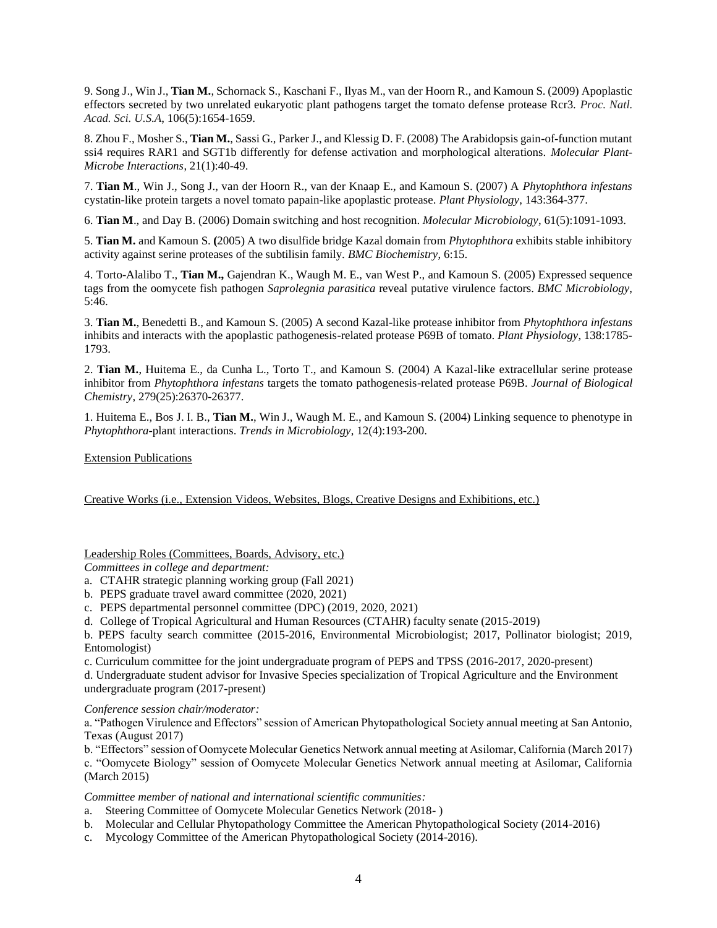9. Song J., Win J., **Tian M.**, Schornack S., Kaschani F., Ilyas M., van der Hoorn R., and Kamoun S. (2009) Apoplastic effectors secreted by two unrelated eukaryotic plant pathogens target the tomato defense protease Rcr3. *Proc. Natl. Acad. Sci. U.S.A*, 106(5):1654-1659.

8. Zhou F., Mosher S., **Tian M.**, Sassi G., Parker J., and Klessig D. F. (2008) The Arabidopsis gain-of-function mutant ssi4 requires RAR1 and SGT1b differently for defense activation and morphological alterations. *Molecular Plant-Microbe Interactions*, 21(1):40-49.

7. **Tian M**., Win J., Song J., van der Hoorn R., van der Knaap E., and Kamoun S. (2007) A *Phytophthora infestans* cystatin-like protein targets a novel tomato papain-like apoplastic protease. *Plant Physiology*, 143:364-377.

6. **Tian M**., and Day B. (2006) Domain switching and host recognition. *Molecular Microbiology*, 61(5):1091-1093.

5. **Tian M.** and Kamoun S. **(**2005) A two disulfide bridge Kazal domain from *Phytophthora* exhibits stable inhibitory activity against serine proteases of the subtilisin family. *BMC Biochemistry*, 6:15.

4. Torto-Alalibo T., **Tian M.,** Gajendran K., Waugh M. E., van West P., and Kamoun S. (2005) Expressed sequence tags from the oomycete fish pathogen *Saprolegnia parasitica* reveal putative virulence factors. *BMC Microbiology*, 5:46.

3. **Tian M.**, Benedetti B., and Kamoun S. (2005) A second Kazal-like protease inhibitor from *Phytophthora infestans* inhibits and interacts with the apoplastic pathogenesis-related protease P69B of tomato. *Plant Physiology*, 138:1785- 1793.

2. **Tian M.**, Huitema E., da Cunha L., Torto T., and Kamoun S. (2004) A Kazal-like extracellular serine protease inhibitor from *Phytophthora infestans* targets the tomato pathogenesis-related protease P69B. *Journal of Biological Chemistry*, 279(25):26370-26377.

1. Huitema E., Bos J. I. B., **Tian M.**, Win J., Waugh M. E., and Kamoun S. (2004) Linking sequence to phenotype in *Phytophthora*-plant interactions. *Trends in Microbiology*, 12(4):193-200.

Extension Publications

Creative Works (i.e., Extension Videos, Websites, Blogs, Creative Designs and Exhibitions, etc.)

Leadership Roles (Committees, Boards, Advisory, etc.)

*Committees in college and department:*

- a. CTAHR strategic planning working group (Fall 2021)
- b. PEPS graduate travel award committee (2020, 2021)
- c. PEPS departmental personnel committee (DPC) (2019, 2020, 2021)
- d. College of Tropical Agricultural and Human Resources (CTAHR) faculty senate (2015-2019)

b. PEPS faculty search committee (2015-2016, Environmental Microbiologist; 2017, Pollinator biologist; 2019, Entomologist)

c. Curriculum committee for the joint undergraduate program of PEPS and TPSS (2016-2017, 2020-present)

d. Undergraduate student advisor for Invasive Species specialization of Tropical Agriculture and the Environment undergraduate program (2017-present)

# *Conference session chair/moderator:*

a. "Pathogen Virulence and Effectors" session of American Phytopathological Society annual meeting at San Antonio, Texas (August 2017)

b. "Effectors" session of Oomycete Molecular Genetics Network annual meeting at Asilomar, California (March 2017)

c. "Oomycete Biology" session of Oomycete Molecular Genetics Network annual meeting at Asilomar, California (March 2015)

*Committee member of national and international scientific communities:*

- a. Steering Committee of Oomycete Molecular Genetics Network (2018- )
- b. Molecular and Cellular Phytopathology Committee the American Phytopathological Society (2014-2016)
- c. Mycology Committee of the American Phytopathological Society (2014-2016).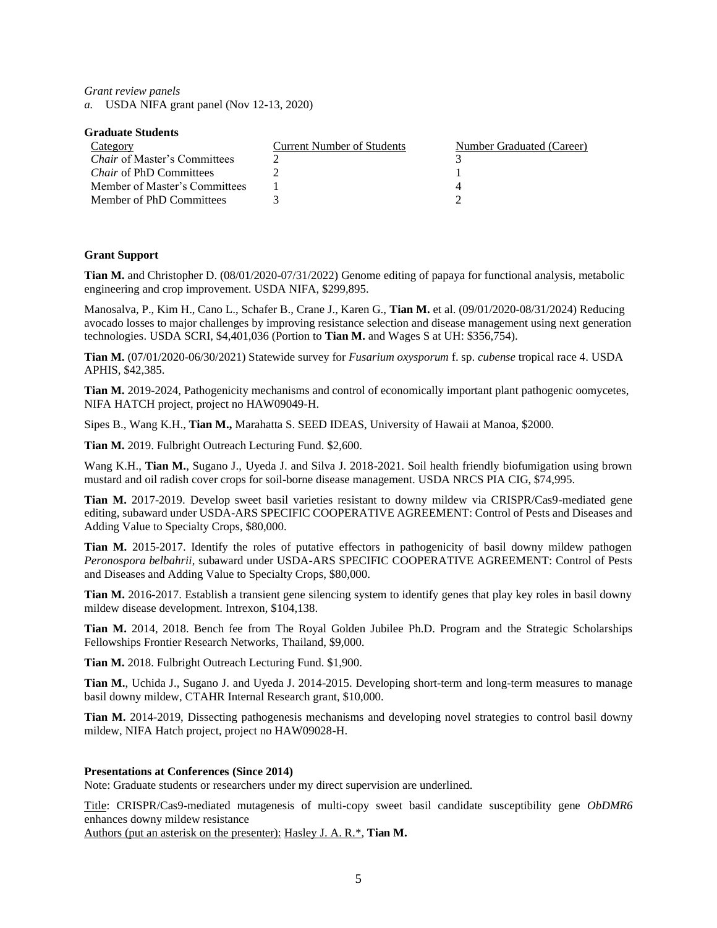## *Grant review panels*

*a.* USDA NIFA grant panel (Nov 12-13, 2020)

| <b>Graduate Students</b>       |                                   |                           |
|--------------------------------|-----------------------------------|---------------------------|
| Category                       | <b>Current Number of Students</b> | Number Graduated (Career) |
| Chair of Master's Committees   |                                   |                           |
| <i>Chair</i> of PhD Committees |                                   |                           |
| Member of Master's Committees  |                                   | $\Delta$                  |
| Member of PhD Committees       |                                   |                           |

## **Grant Support**

**Tian M.** and Christopher D. (08/01/2020-07/31/2022) Genome editing of papaya for functional analysis, metabolic engineering and crop improvement. USDA NIFA, \$299,895.

Manosalva, P., Kim H., Cano L., Schafer B., Crane J., Karen G., **Tian M.** et al. (09/01/2020-08/31/2024) Reducing avocado losses to major challenges by improving resistance selection and disease management using next generation technologies. USDA SCRI, \$4,401,036 (Portion to **Tian M.** and Wages S at UH: \$356,754).

**Tian M.** (07/01/2020-06/30/2021) Statewide survey for *Fusarium oxysporum* f. sp. *cubense* tropical race 4. USDA APHIS, \$42,385.

**Tian M.** 2019-2024, Pathogenicity mechanisms and control of economically important plant pathogenic oomycetes, NIFA HATCH project, project no HAW09049-H.

Sipes B., Wang K.H., **Tian M.,** Marahatta S. SEED IDEAS, University of Hawaii at Manoa, \$2000.

**Tian M.** 2019. Fulbright Outreach Lecturing Fund. \$2,600.

Wang K.H., **Tian M.**, Sugano J., Uyeda J. and Silva J. 2018-2021. Soil health friendly biofumigation using brown mustard and oil radish cover crops for soil-borne disease management. USDA NRCS PIA CIG, \$74,995.

**Tian M.** 2017-2019. Develop sweet basil varieties resistant to downy mildew via CRISPR/Cas9-mediated gene editing, subaward under USDA-ARS SPECIFIC COOPERATIVE AGREEMENT: Control of Pests and Diseases and Adding Value to Specialty Crops, \$80,000.

**Tian M.** 2015-2017. Identify the roles of putative effectors in pathogenicity of basil downy mildew pathogen *Peronospora belbahrii*, subaward under USDA-ARS SPECIFIC COOPERATIVE AGREEMENT: Control of Pests and Diseases and Adding Value to Specialty Crops, \$80,000.

**Tian M.** 2016-2017. Establish a transient gene silencing system to identify genes that play key roles in basil downy mildew disease development. Intrexon, \$104,138.

**Tian M.** 2014, 2018. Bench fee from The Royal Golden Jubilee Ph.D. Program and the Strategic Scholarships Fellowships Frontier Research Networks, Thailand, \$9,000.

**Tian M.** 2018. Fulbright Outreach Lecturing Fund. \$1,900.

**Tian M.**, Uchida J., Sugano J. and Uyeda J. 2014-2015. Developing short-term and long-term measures to manage basil downy mildew, CTAHR Internal Research grant, \$10,000.

**Tian M.** 2014-2019, Dissecting pathogenesis mechanisms and developing novel strategies to control basil downy mildew, NIFA Hatch project, project no HAW09028-H.

## **Presentations at Conferences (Since 2014)**

Note: Graduate students or researchers under my direct supervision are underlined.

Title: CRISPR/Cas9-mediated mutagenesis of multi-copy sweet basil candidate susceptibility gene *ObDMR6*  enhances downy mildew resistance

Authors (put an asterisk on the presenter): Hasley J. A. R.\*, **Tian M.**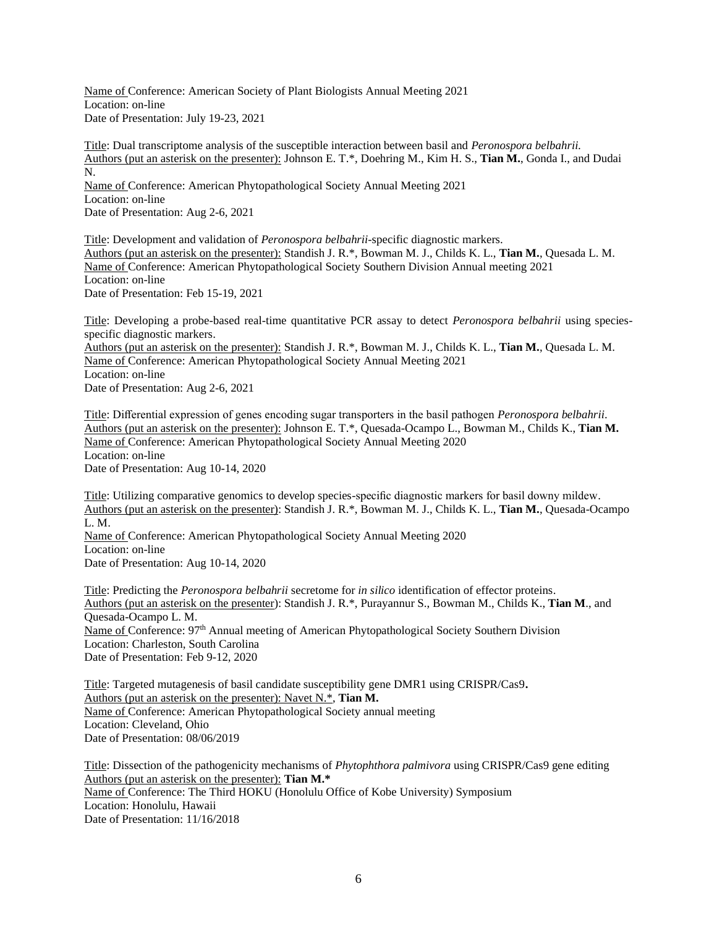Name of Conference: American Society of Plant Biologists Annual Meeting 2021 Location: on-line Date of Presentation: July 19-23, 2021

Title: Dual transcriptome analysis of the susceptible interaction between basil and *Peronospora belbahrii.* Authors (put an asterisk on the presenter): Johnson E. T.\*, Doehring M., Kim H. S., **Tian M.**, Gonda I., and Dudai N.

Name of Conference: American Phytopathological Society Annual Meeting 2021 Location: on-line Date of Presentation: Aug 2-6, 2021

Title: Development and validation of *Peronospora belbahrii*-specific diagnostic markers. Authors (put an asterisk on the presenter): Standish J. R.\*, Bowman M. J., Childs K. L., **Tian M.**, Quesada L. M. Name of Conference: American Phytopathological Society Southern Division Annual meeting 2021 Location: on-line Date of Presentation: Feb 15-19, 2021

Title: Developing a probe-based real-time quantitative PCR assay to detect *Peronospora belbahrii* using speciesspecific diagnostic markers.

Authors (put an asterisk on the presenter): Standish J. R.\*, Bowman M. J., Childs K. L., **Tian M.**, Quesada L. M. Name of Conference: American Phytopathological Society Annual Meeting 2021 Location: on-line Date of Presentation: Aug 2-6, 2021

Title: Differential expression of genes encoding sugar transporters in the basil pathogen *Peronospora belbahrii*. Authors (put an asterisk on the presenter): Johnson E. T.\*, Quesada-Ocampo L., Bowman M., Childs K., **Tian M.** Name of Conference: American Phytopathological Society Annual Meeting 2020 Location: on-line Date of Presentation: Aug 10-14, 2020

Title: Utilizing comparative genomics to develop species-specific diagnostic markers for basil downy mildew. Authors (put an asterisk on the presenter): Standish J. R.\*, Bowman M. J., Childs K. L., **Tian M.**, Quesada-Ocampo L. M.

Name of Conference: American Phytopathological Society Annual Meeting 2020 Location: on-line Date of Presentation: Aug 10-14, 2020

Title: Predicting the *Peronospora belbahrii* secretome for *in silico* identification of effector proteins. Authors (put an asterisk on the presenter): Standish J. R.\*, Purayannur S., Bowman M., Childs K., **Tian M**., and Quesada-Ocampo L. M. Name of Conference: 97<sup>th</sup> Annual meeting of American Phytopathological Society Southern Division Location: Charleston, South Carolina Date of Presentation: Feb 9-12, 2020

Title: Targeted mutagenesis of basil candidate susceptibility gene DMR1 using CRISPR/Cas9**.** Authors (put an asterisk on the presenter): Navet N.\*, **Tian M.** Name of Conference: American Phytopathological Society annual meeting Location: Cleveland, Ohio Date of Presentation: 08/06/2019

Title: Dissection of the pathogenicity mechanisms of *Phytophthora palmivora* using CRISPR/Cas9 gene editing Authors (put an asterisk on the presenter): **Tian M.\*** Name of Conference: The Third HOKU (Honolulu Office of Kobe University) Symposium Location: Honolulu, Hawaii Date of Presentation: 11/16/2018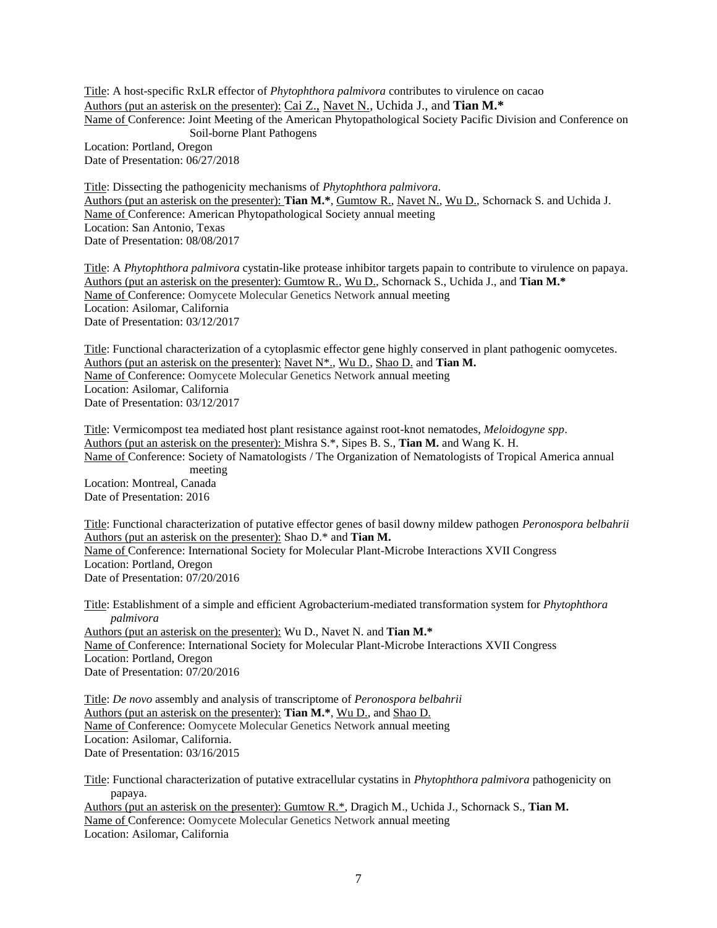Title: A host-specific RxLR effector of *Phytophthora palmivora* contributes to virulence on cacao Authors (put an asterisk on the presenter): Cai Z., Navet N., Uchida J., and **Tian M.\*** Name of Conference: Joint Meeting of the American Phytopathological Society Pacific Division and Conference on Soil-borne Plant Pathogens Location: Portland, Oregon Date of Presentation: 06/27/2018

Title: Dissecting the pathogenicity mechanisms of *Phytophthora palmivora*. Authors (put an asterisk on the presenter): **Tian M.\***, Gumtow R., Navet N., Wu D., Schornack S. and Uchida J. Name of Conference: American Phytopathological Society annual meeting Location: San Antonio, Texas Date of Presentation: 08/08/2017

Title: A *Phytophthora palmivora* cystatin-like protease inhibitor targets papain to contribute to virulence on papaya. Authors (put an asterisk on the presenter): Gumtow R., Wu D., Schornack S., Uchida J., and **Tian M.\*** Name of Conference: Oomycete Molecular Genetics Network annual meeting Location: Asilomar, California Date of Presentation: 03/12/2017

Title: Functional characterization of a cytoplasmic effector gene highly conserved in plant pathogenic oomycetes. Authors (put an asterisk on the presenter): Navet N\*., Wu D., Shao D. and **Tian M.** Name of Conference: Oomycete Molecular Genetics Network annual meeting Location: Asilomar, California Date of Presentation: 03/12/2017

Title: Vermicompost tea mediated host plant resistance against root-knot nematodes, *Meloidogyne spp*. Authors (put an asterisk on the presenter): Mishra S.\*, Sipes B. S., **Tian M.** and Wang K. H. Name of Conference: Society of Namatologists / The Organization of Nematologists of Tropical America annual meeting Location: Montreal, Canada Date of Presentation: 2016

Title: Functional characterization of putative effector genes of basil downy mildew pathogen *Peronospora belbahrii* Authors (put an asterisk on the presenter): Shao D.\* and **Tian M.** Name of Conference: International Society for Molecular Plant-Microbe Interactions XVII Congress Location: Portland, Oregon Date of Presentation: 07/20/2016

Title: Establishment of a simple and efficient Agrobacterium-mediated transformation system for *Phytophthora palmivora* Authors (put an asterisk on the presenter): Wu D., Navet N. and **Tian M.\*** Name of Conference: International Society for Molecular Plant-Microbe Interactions XVII Congress Location: Portland, Oregon Date of Presentation: 07/20/2016

Title: *De novo* assembly and analysis of transcriptome of *Peronospora belbahrii* Authors (put an asterisk on the presenter): **Tian M.\***, Wu D., and Shao D. Name of Conference: Oomycete Molecular Genetics Network annual meeting Location: Asilomar, California. Date of Presentation: 03/16/2015

Title: Functional characterization of putative extracellular cystatins in *Phytophthora palmivora* pathogenicity on papaya.

Authors (put an asterisk on the presenter): Gumtow R.\*, Dragich M., Uchida J., Schornack S., **Tian M.** Name of Conference: Oomycete Molecular Genetics Network annual meeting Location: Asilomar, California